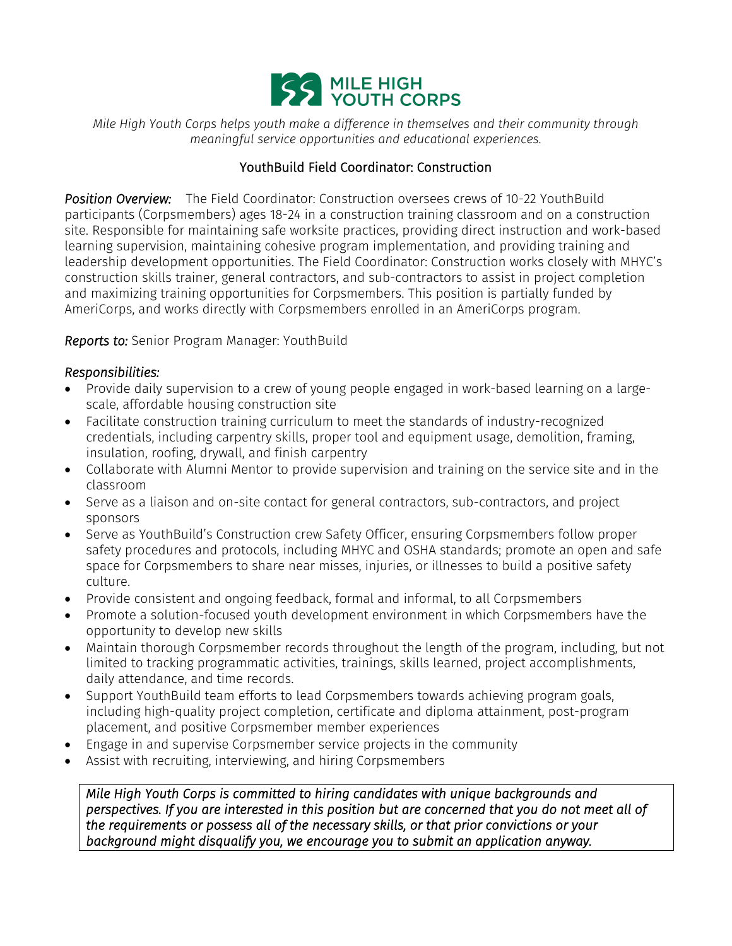

*Mile High Youth Corps helps youth make a difference in themselves and their community through meaningful service opportunities and educational experiences.*

## YouthBuild Field Coordinator: Construction

**Position Overview:** The Field Coordinator: Construction oversees crews of 10-22 YouthBuild participants (Corpsmembers) ages 18-24 in a construction training classroom and on a construction site. Responsible for maintaining safe worksite practices, providing direct instruction and work-based learning supervision, maintaining cohesive program implementation, and providing training and leadership development opportunities. The Field Coordinator: Construction works closely with MHYC's construction skills trainer, general contractors, and sub-contractors to assist in project completion and maximizing training opportunities for Corpsmembers. This position is partially funded by AmeriCorps, and works directly with Corpsmembers enrolled in an AmeriCorps program.

*Reports to:* Senior Program Manager: YouthBuild

#### *Responsibilities:*

- Provide daily supervision to a crew of young people engaged in work-based learning on a largescale, affordable housing construction site
- Facilitate construction training curriculum to meet the standards of industry-recognized credentials, including carpentry skills, proper tool and equipment usage, demolition, framing, insulation, roofing, drywall, and finish carpentry
- Collaborate with Alumni Mentor to provide supervision and training on the service site and in the classroom
- Serve as a liaison and on-site contact for general contractors, sub-contractors, and project sponsors
- Serve as YouthBuild's Construction crew Safety Officer, ensuring Corpsmembers follow proper safety procedures and protocols, including MHYC and OSHA standards; promote an open and safe space for Corpsmembers to share near misses, injuries, or illnesses to build a positive safety culture.
- Provide consistent and ongoing feedback, formal and informal, to all Corpsmembers
- Promote a solution-focused youth development environment in which Corpsmembers have the opportunity to develop new skills
- Maintain thorough Corpsmember records throughout the length of the program, including, but not limited to tracking programmatic activities, trainings, skills learned, project accomplishments, daily attendance, and time records.
- Support YouthBuild team efforts to lead Corpsmembers towards achieving program goals, including high-quality project completion, certificate and diploma attainment, post-program placement, and positive Corpsmember member experiences
- Engage in and supervise Corpsmember service projects in the community
- Assist with recruiting, interviewing, and hiring Corpsmembers

*Mile High Youth Corps is committed to hiring candidates with unique backgrounds and perspectives. If you are interested in this position but are concerned that you do not meet all of the requirements or possess all of the necessary skills, or that prior convictions or your background might disqualify you, we encourage you to submit an application anyway.*